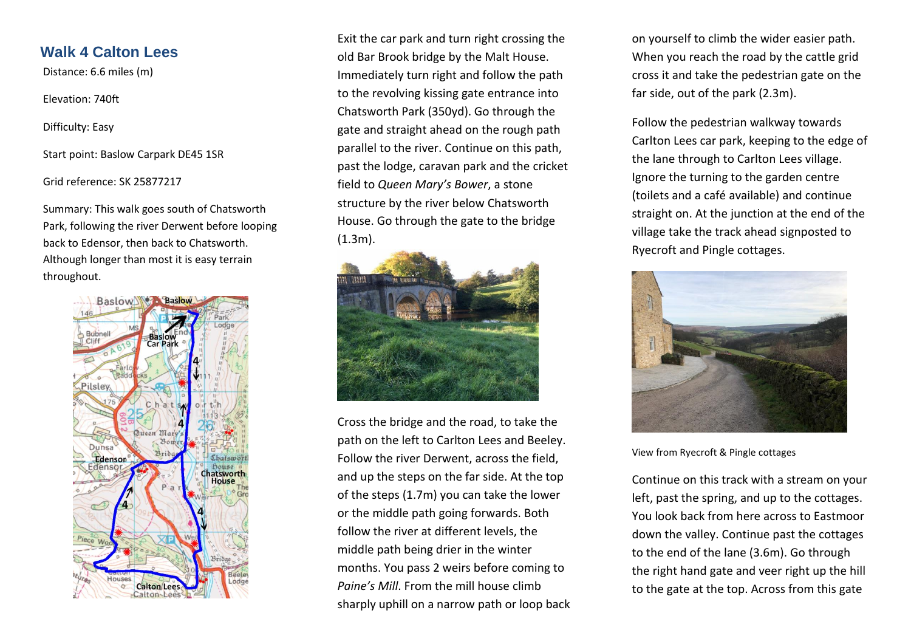# **Walk 4 Calton Lees**

Distance: 6.6 miles (m)

Elevation: 740ft

Difficulty: Easy

Start point: Baslow Carpark DE45 1SR

Grid reference: SK 25877217

Summary: This walk goes south of Chatsworth Park, following the river Derwent before looping back to Edensor, then back to Chatsworth. Although longer than most it is easy terrain throughout.



Exit the car park and turn right crossing the old Bar Brook bridge by the Malt House. Immediately turn right and follow the path to the revolving kissing gate entrance into Chatsworth Park (350yd). Go through the gate and straight ahead on the rough path parallel to the river. Continue on this path, past the lodge, caravan park and the cricket field to *Queen Mary's Bower*, a stone structure by the river below Chatsworth House. Go through the gate to the bridge (1.3m).



Cross the bridge and the road, to take the path on the left to Carlton Lees and Beeley. Follow the river Derwent, across the field, and up the steps on the far side. At the top of the steps (1.7m) you can take the lower or the middle path going forwards. Both follow the river at different levels, the middle path being drier in the winter months. You pass 2 weirs before coming to *Paine's Mill*. From the mill house climb sharply uphill on a narrow path or loop back on yourself to climb the wider easier path. When you reach the road by the cattle grid cross it and take the pedestrian gate on the far side, out of the park (2.3m).

Follow the pedestrian walkway towards Carlton Lees car park, keeping to the edge of the lane through to Carlton Lees village. Ignore the turning to the garden centre (toilets and a café available) and continue straight on. At the junction at the end of the village take the track ahead signposted to Ryecroft and Pingle cottages.



View from Ryecroft & Pingle cottages

Continue on this track with a stream on your left, past the spring, and up to the cottages. You look back from here across to Eastmoor down the valley. Continue past the cottages to the end of the lane (3.6m). Go through the right hand gate and veer right up the hill to the gate at the top. Across from this gate